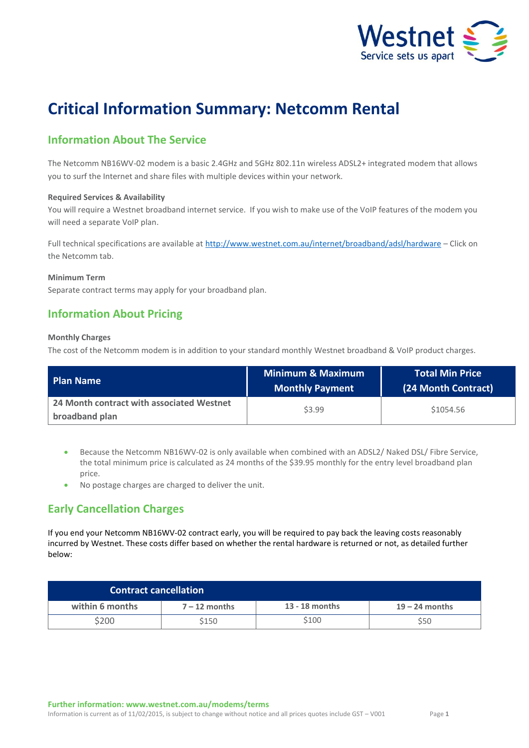

# **Critical Information Summary: Netcomm Rental**

# **Information About The Service**

The Netcomm NB16WV-02 modem is a basic 2.4GHz and 5GHz 802.11n wireless ADSL2+ integrated modem that allows you to surf the Internet and share files with multiple devices within your network.

### **Required Services & Availability**

You will require a Westnet broadband internet service. If you wish to make use of the VoIP features of the modem you will need a separate VoIP plan.

Full technical specifications are available at<http://www.westnet.com.au/internet/broadband/adsl/hardware> – Click on the Netcomm tab.

### **Minimum Term**

Separate contract terms may apply for your broadband plan.

### **Information About Pricing**

### **Monthly Charges**

The cost of the Netcomm modem is in addition to your standard monthly Westnet broadband & VoIP product charges.

| <b>Plan Name</b>                                            | <b>Minimum &amp; Maximum</b><br><b>Monthly Payment</b> | <b>Total Min Price</b><br>(24 Month Contract) |
|-------------------------------------------------------------|--------------------------------------------------------|-----------------------------------------------|
| 24 Month contract with associated Westnet<br>broadband plan | \$3.99                                                 | \$1054.56                                     |

 Because the Netcomm NB16WV-02 is only available when combined with an ADSL2/ Naked DSL/ Fibre Service, the total minimum price is calculated as 24 months of the \$39.95 monthly for the entry level broadband plan price.

No postage charges are charged to deliver the unit.

## **Early Cancellation Charges**

If you end your Netcomm NB16WV-02 contract early, you will be required to pay back the leaving costs reasonably incurred by Westnet. These costs differ based on whether the rental hardware is returned or not, as detailed further below:

| <b>Contract cancellation</b> |                 |                |                  |
|------------------------------|-----------------|----------------|------------------|
| within 6 months              | $7 - 12$ months | 13 - 18 months | $19 - 24$ months |
| \$200                        | \$150           | \$100          | S50              |